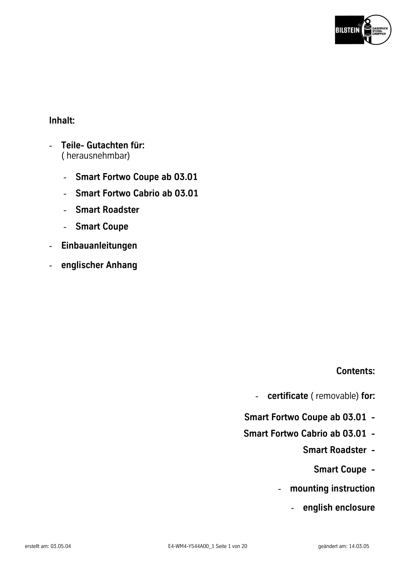

# **Inhalt:**

- **Teile- Gutachten für:**  ( herausnehmbar)
	- **Smart Fortwo Coupe ab 03.01**
	- **Smart Fortwo Cabrio ab 03.01**
	- **Smart Roadster**
	- **Smart Coupe**
- **[Einbauanleitungen](#page-2-0)**
- **englischer Anhang**

# **Contents:**

- **certificate** ( removable) **for:**
- **Smart Fortwo Coupe ab 03.01**
- **Smart Fortwo Cabrio ab 03.01** 
	- **Smart Roadster** 
		- **Smart Coupe**
	- **[mounting instruction](#page-2-0)**
		- **english enclosure**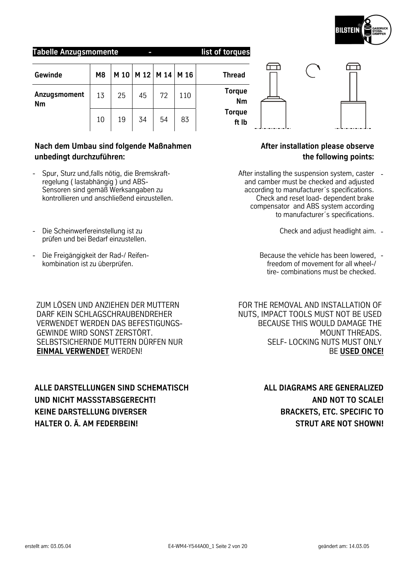**Torque Nm Torque ft lb**

<del>ت)</del>

**Tabelle Anzugsmomente - list of torques** 

| Gewinde            | M <sub>8</sub> |    |    | M 10   M 12   M 14   M 16 |     | <b>Thread</b>          |
|--------------------|----------------|----|----|---------------------------|-----|------------------------|
| Anzugsmoment<br>Nm | 13             | 25 | 45 | 72                        | 110 | <b>Torque</b><br>Nn    |
|                    | 10             | 19 | 34 | 54                        | 83  | <b>Torque</b><br>ft II |

# **Nach dem Umbau sind folgende Maßnahmen unbedingt durchzuführen:**

- Spur, Sturz und,falls nötig, die Bremskraftregelung ( lastabhängig ) und ABS-Sensoren sind gemäß Werksangaben zu kontrollieren und anschließend einzustellen.
- Die Scheinwerfereinstellung ist zu prüfen und bei Bedarf einzustellen.
- Die Freigängigkeit der Rad-/ Reifenkombination ist zu überprüfen.

ZUM LÖSEN UND ANZIEHEN DER MUTTERN DARF KEIN SCHLAGSCHRAUBENDREHER VERWENDET WERDEN DAS BEFESTIGUNGS-GEWINDE WIRD SONST ZERSTÖRT. SELBSTSICHERNDE MUTTERN DÜRFEN NUR **EINMAL VERWENDET** WERDEN!

**ALLE DARSTELLUNGEN SIND SCHEMATISCH UND NICHT MASSSTABSGERECHT! KEINE DARSTELLUNG DIVERSER HALTER O. Ä. AM FEDERBEIN!** 

# **After installation please observe the following points:**

- After installing the suspension system, caster and camber must be checked and adjusted according to manufacturer´s specifications. Check and reset load- dependent brake compensator and ABS system according to manufacturer´s specifications.
	- Check and adjust headlight aim. -
	- Because the vehicle has been lowered, freedom of movement for all wheel-/ tire- combinations must be checked.

FOR THE REMOVAL AND INSTALLATION OF NUTS, IMPACT TOOLS MUST NOT BE USED BECAUSE THIS WOULD DAMAGE THE MOUNT THREADS. SELF- LOCKING NUTS MUST ONLY BE **USED ONCE!**

> **ALL DIAGRAMS ARE GENERALIZED AND NOT TO SCALE! BRACKETS, ETC. SPECIFIC TO STRUT ARE NOT SHOWN!**



ᡤ᠇᠇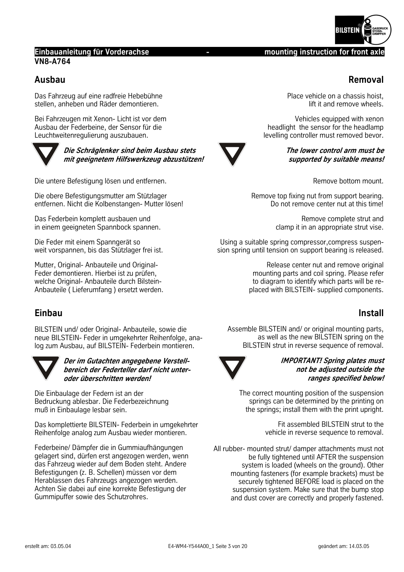# <span id="page-2-0"></span>**Einbauanleitung für Vorderachse Matter and Construction for front axle and properties and axle and axle and axle and axle and axle and axle and axle and axle and axle and axle and axle and axle and axle and axle and axl VN8-A764**

# **Ausbau**

Das Fahrzeug auf eine radfreie Hebebühne stellen, anheben und Räder demontieren.

Bei Fahrzeugen mit Xenon- Licht ist vor dem Ausbau der Federbeine, der Sensor für die Leuchtweitenregulierung auszubauen.



**Die Schräglenker sind beim Ausbau stets mit geeignetem Hilfswerkzeug abzustützen!** 

Die untere Befestigung lösen und entfernen.

Die obere Befestigungsmutter am Stützlager entfernen. Nicht die Kolbenstangen- Mutter lösen!

Das Federbein komplett ausbauen und in einem geeigneten Spannbock spannen.

Die Feder mit einem Spanngerät so weit vorspannen, bis das Stützlager frei ist.

Mutter, Original- Anbauteile und Original-Feder demontieren. Hierbei ist zu prüfen, welche Original- Anbauteile durch Bilstein-Anbauteile ( Lieferumfang ) ersetzt werden.

# **Einbau**

BILSTEIN und/ oder Original- Anbauteile, sowie die neue BILSTEIN- Feder in umgekehrter Reihenfolge, analog zum Ausbau, auf BILSTEIN- Federbein montieren.



**Der im Gutachten angegebene Verstellbereich der Federteller darf nicht unteroder überschritten werden!** 

Die Einbaulage der Federn ist an der Bedruckung ablesbar. Die Federbezeichnung muß in Einbaulage lesbar sein.

Das komplettierte BILSTEIN- Federbein in umgekehrter Reihenfolge analog zum Ausbau wieder montieren.

Federbeine/ Dämpfer die in Gummiaufhängungen gelagert sind, dürfen erst angezogen werden, wenn das Fahrzeug wieder auf dem Boden steht. Andere Befestigungen (z. B. Schellen) müssen vor dem Herablassen des Fahrzeugs angezogen werden. Achten Sie dabei auf eine korrekte Befestigung der Gummipuffer sowie des Schutzrohres.

lift it and remove wheels.

Place vehicle on a chassis hoist,

Vehicles equipped with xenon headlight the sensor for the headlamp levelling controller must removed bevor.



Remove bottom mount.

Remove top fixing nut from support bearing. Do not remove center nut at this time!

> Remove complete strut and clamp it in an appropriate strut vise.

Using a suitable spring compressor,compress suspension spring until tension on support bearing is released.

> Release center nut and remove original mounting parts and coil spring. Please refer to diagram to identify which parts will be replaced with BILSTEIN- supplied components.

# **Install**

Assemble BILSTEIN and/ or original mounting parts, as well as the new BILSTEIN spring on the BILSTEIN strut in reverse sequence of removal.



# **IMPORTANT! Spring plates must not be adjusted outside the ranges specified below!**

The correct mounting position of the suspension springs can be determined by the printing on the springs; install them with the print upright.

> Fit assembled BILSTEIN strut to the vehicle in reverse sequence to removal.

All rubber- mounted strut/ damper attachments must not be fully tightened until AFTER the suspension system is loaded (wheels on the ground). Other mounting fasteners (for example brackets) must be securely tightened BEFORE load is placed on the suspension system. Make sure that the bump stop and dust cover are correctly and properly fastened.



**Removal**

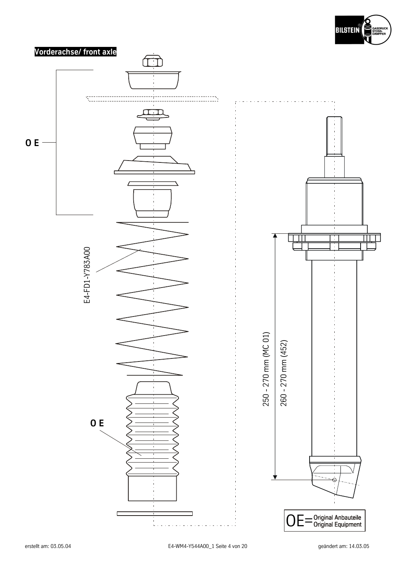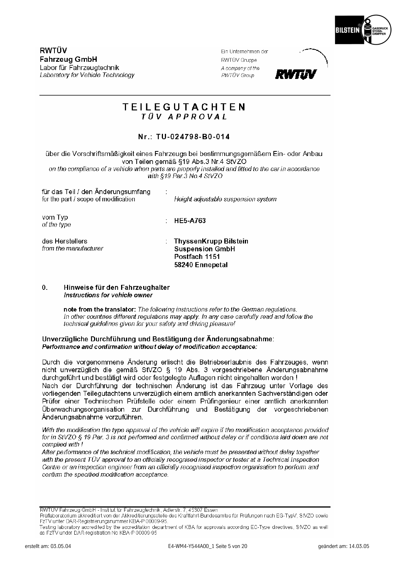

RWTÜV **Fahrzeug GmbH** Labor für Fahrzeugtechnik Laboratory for Vehicle Technology

Ein Unternehmen der RWTÜV Gruppe A company of the RWTÜV Group



# **TEILEGUTACHTEN** TÜV APPROVAI

# Nr.: TU-024798-B0-014

über die Vorschriftsmäßigkeit eines Fahrzeugs bei bestimmungsgemäßem Ein- oder Anbau von Teilen gemäß §19 Abs.3 Nr.4 StVZO on the compliance of a vehicle when parts are properly installed and fitted to the car in accordance with \$19 Par 3 No. 4 StVZO

| für das Teil / den Anderungsumfang<br>for the part / scope of modification | Height adjustable suspension system                                                        |
|----------------------------------------------------------------------------|--------------------------------------------------------------------------------------------|
| vom Typ<br>of the type                                                     | <b>HE5-A763</b>                                                                            |
| des Herstellers<br>from the manufacturer                                   | <b>ThyssenKrupp Bilstein</b><br><b>Suspension GmbH</b><br>Postfach 1151<br>58240 Ennepetal |

#### $\mathbf{0}$ . Hinweise für den Fahrzeughalter Instructions for vehicle owner

note from the translator: The following instructions refer to the German regulations. In other countries different regulations may apply. In any case carefully read and follow the technical guidelines given for your safety and driving pleasure!

#### Unverzügliche Durchführung und Bestätigung der Änderungsabnahme: Performance and confirmation without delay of modification acceptance:

Durch die vorgenommene Änderung erlischt die Betriebserlaubnis des Fahrzeuges, wenn nicht unverzüglich die gemäß StVZO § 19 Abs. 3 vorgeschriebene Änderungsabnahme durchgeführt und bestätigt wird oder festgelegte Auflagen nicht eingehalten werden! Nach der Durchführung der technischen Änderung ist das Fahrzeug unter Vorlage des vorliegenden Teilegutachtens unverzüglich einem amtlich anerkannten Sachverständigen oder Prüfer einer Technischen Prüfstelle oder einem Prüfingenieur einer amtlich anerkannten Überwachungsorganisation zur Durchführung und Bestätigung der vorgeschriebenen Änderungsabnahme vorzuführen.

With the modification the type approval of the vehicle will expire if the modification acceptance provided for in StVZO § 19 Par. 3 is not performed and confirmed without delay or if conditions laid down are not complied with!

After performance of the technical modification, the vehicle must be presented without delay together with the present TÜV approval to an officially recognised inspector or tester at a Technical Inspection Centre or an inspection engineer from an officially recognised inspection organisation to perform and confirm the specified modification acceptance.

RWTÜV Fahrzeug GmbH - Institut für Fahrzeugtechnik, Adlerstr. 7, 45307 Essen

Prüflaboratorium akkreditiert von der Akkreditierungsstelle des Kraftfahrt-Bundesamtes für Prüfungen nach EG-TypV, StVZO sowie FzTV unter DAR-Registrierungsnummer KBA-P 00009-95.

Testing laboratory accredited by the accreditation department of KBA for approvals according EC-Type directives, StVZO as well as FzTV under DAR-registration No KBA-P 00009-95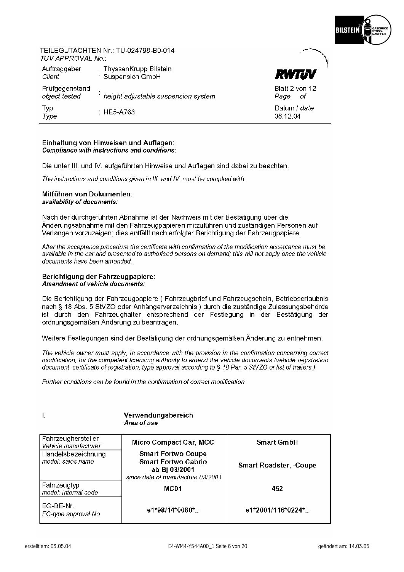

#### TEILEGUTACHTEN Nr · TU-024798-R0-014 TÜV APPROVAL No :

| Auftraggeber<br>Client          | ThyssenKrupp Bilstein<br><b>Suspension GmbH</b> | <b>RWTJV</b>                 |
|---------------------------------|-------------------------------------------------|------------------------------|
| Prüfgegenstand<br>object tested | height adjustable suspension system             | Blatt 2 von 12<br>Page<br>οf |
| Typ<br>Type                     | $\pm$ HE5-A763                                  | Datum / date<br>08.12.04     |

#### Einhaltung von Hinweisen und Auflagen: Compliance with instructions and conditions:

Die unter III. und IV. aufgeführten Hinweise und Auflagen sind dabei zu beachten.

The instructions and conditions given in III, and IV, must be complied with.

#### Mitführen von Dokumenten: availability of documents:

Nach der durchgeführten Abnahme ist der Nachweis mit der Bestätigung über die Änderungsabnahme mit den Fahrzeugpapieren mitzuführen und zuständigen Personen auf Verlangen vorzuzeigen: dies entfällt nach erfolgter Berichtigung der Fahrzeugpapiere.

After the acceptance procedure the certificate with confirmation of the modification acceptance must be available in the car and presented to authorised persons on demand; this will not apply once the vehicle documents have been amended.

#### Berichtigung der Fahrzeugpapiere: **Amendment of vehicle documents:**

Die Berichtigung der Fahrzeugpapiere (Fahrzeugbrief und Fahrzeugschein, Betriebserlaubnis nach § 18 Abs. 5 StVZO oder Anhängerverzeichnis) durch die zuständige Zulassungsbehörde ist durch den Fahrzeughalter entsprechend der Festlegung in der Bestätigung der ordnungsgemäßen Änderung zu beantragen.

Weitere Festlegungen sind der Bestätigung der ordnungsgemäßen Änderung zu entnehmen.

The vehicle owner must apply, in accordance with the provision in the confirmation concerning correct modification, for the competent licensing authority to amend the vehicle documents (vehicle registration document, certificate of registration, type approval according to § 18 Par. 5 StVZO or list of trailers).

Further conditions can be found in the confirmation of correct modification.

#### Verwendungsbereich  $\mathbf{L}$ Area of use Fahrzeughersteller Micro Compact Car, MCC **Smart GmbH** Vehicle manufacturer **Smart Fortwo Coupe** Handelsbezeichnung model: sales name **Smart Fortwo Cabrio Smart Roadster, -Coupe** ab Bi 03/2001 since date of manufacture 03/2001 Fahrzeugtyp MC<sub>01</sub> 452 model: internal code EG-BE-Nr. e1\*98/14\*0080\*.. e1\*2001/116\*0224\*.. EC-type approval No.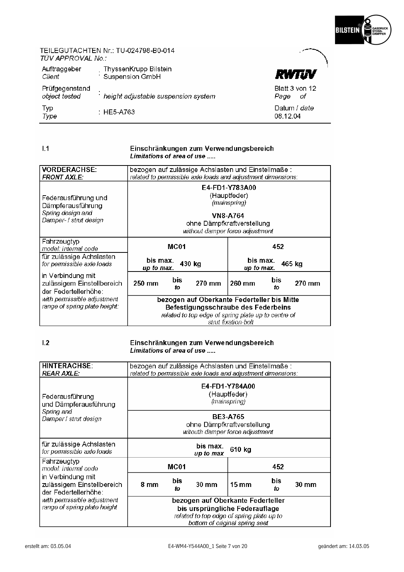

#### TEILEGUTACHTEN Nr.: TU-024798-B0-014 TÜV APPROVAL No.:

| Auftraggeber<br>Client          | ThyssenKrupp Bilstein<br>Suspension GmbH | RWTUV                          |
|---------------------------------|------------------------------------------|--------------------------------|
| Prüfgegenstand<br>object tested | height adjustable suspension system      | Blatt 3 von 12<br>Page<br>– of |
| Typ<br>Type                     | : HE5-A763                               | Datum / date<br>08.12.04       |

#### $1.1$

#### Einschränkungen zum Verwendungsbereich Limitations of area of use .....

| <b>VORDERACHSE:</b><br><b>FRONT AXLE:</b>                                               | bezogen auf zulässige Achslasten und Einstellmaße :<br>related to permissible axle loads and adjustment dimensions: |                                                                                                                                    |  |  |
|-----------------------------------------------------------------------------------------|---------------------------------------------------------------------------------------------------------------------|------------------------------------------------------------------------------------------------------------------------------------|--|--|
| Federausführung und<br>Dämpferausführung<br>Spring design and<br>Damper- / strut design |                                                                                                                     | E4-FD1-Y783A00<br>(Hauptfeder)<br>(mainspring)<br><b>VN8-A764</b><br>ohne Dämpfkraftverstellung<br>without damper force adjustment |  |  |
| Fahrzeugtyp<br>model: internal code                                                     | MC01                                                                                                                | 452                                                                                                                                |  |  |
| für zulässige Achslasten<br>for permissible axle loads                                  | bis max.<br>430 kg<br>up to max.                                                                                    | bis max.<br>465 kg<br>up to max.                                                                                                   |  |  |
| in Verbindung mit<br>zulässigem Einstellbereich<br>der Federtellerhöhe:                 | bis.<br>270 mm<br>250 mm<br>fΩ                                                                                      | bis.<br>260 mm<br>270 mm<br>tо                                                                                                     |  |  |
| with permissible adjustment<br>range of spring plate height:                            | bezogen auf Oberkante Federteller bis Mitte                                                                         |                                                                                                                                    |  |  |
|                                                                                         | Befestigungsschraube des Federbeins                                                                                 |                                                                                                                                    |  |  |
|                                                                                         |                                                                                                                     | related to top edge of spring plate up to centre of                                                                                |  |  |
|                                                                                         |                                                                                                                     | stnit fixation-bolt                                                                                                                |  |  |

 $1.2$ 

#### Einschränkungen zum Verwendungsbereich Limitations of area of use .....

**HINTERACHSE:** bezogen auf zulässige Achslasten und Einstellmaße: related to permissible axle loads and adjustment dimensions: **REAR AXLE:** E4-FD1-Y784A00 (Hauptfeder) Federausführung (mainspring) und Dämpferausführung Spring and **BE3-A765** Damper / strut design ohne Dämpfkraftverstellung witouth damper force adjustment für zulässige Achslasten bis max. 610 kg for permissible axle loads up to max Fahrzeugtyp MC01 452 model: internal code in Verbindung mit bis bis zulässigem Einstellbereich  $8<sub>mm</sub>$ 30 mm  $15 \text{ mm}$ 30 mm  $\mathfrak{b}$ fo der Federtellerhöhe: with permissible adjustment bezogen auf Oberkante Federteller range of spring plate height bis ursprüngliche Federauflage related to top edge of spring plate up to bottom of original spring seat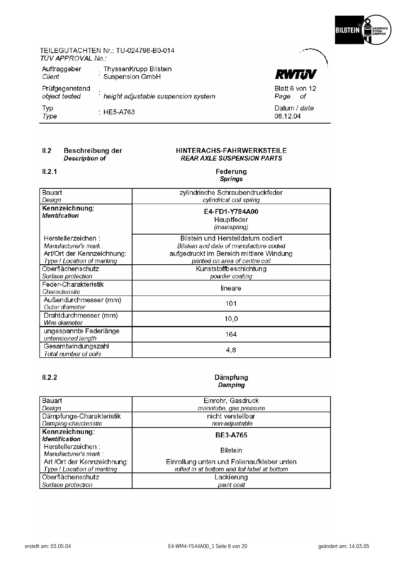

**RWTIN** 

Blatt 6 von 12 Page of Datum / date 08.12.04

#### TEILEGUTACHTEN Nr.: TU-024798-B0-014 TÜV APPROVAL No.:

| Auftraggeber<br>Client          | ThyssenKrupp Bilstein<br>Suspension GmbH |
|---------------------------------|------------------------------------------|
| Prüfgegenstand<br>object tested | height adjustable suspension system      |
| Typ<br>Type                     | : HE5-A763                               |

#### $II.2$ Beschreibung der **Description of**

#### HINTERACHS-FAHRWERKSTEILE **REAR AXLE SUSPENSION PARTS**

#### $II.2.1$

#### Federung **Springs**

| Bauart<br>Design                                                                                         | zylindrische Schraubendruckfeder<br>cylindrical coil spring                                                                                               |
|----------------------------------------------------------------------------------------------------------|-----------------------------------------------------------------------------------------------------------------------------------------------------------|
| Kennzeichnung:<br><b>Identifcation</b>                                                                   | E4-FD1-Y784A00<br>Hauptfeder<br>(mainspring)                                                                                                              |
| Herstellerzeichen :<br>Manufacturer's mark :<br>Art/Ort der Kennzeichnung:<br>Type / Location of marking | Bilstein und Herstelldatum codiert<br>Bilstein and date of manufacture coded<br>aufgedruckt im Bereich mittlere Windung<br>printed on area of centre coil |
| Oberflächenschutz<br>Surface protection                                                                  | Kunststoffbeschichtung<br>powder coating                                                                                                                  |
| Feder-Charakteristik<br>Characteristic                                                                   | lineare                                                                                                                                                   |
| Außendurchmesser (mm)<br>Outer diameter                                                                  | 101                                                                                                                                                       |
| Drahtdurchmesser (mm)<br>Wire diameter                                                                   | 10,0                                                                                                                                                      |
| ungespannte Federlänge<br>untensioned length                                                             | 164                                                                                                                                                       |
| Gesamtwindungszahl<br>Total number of coils                                                              | 4,8                                                                                                                                                       |

# $II.2.2$

#### Dämpfung Damping

| Bauart                                    | Einrohr, Gasdruck                            |
|-------------------------------------------|----------------------------------------------|
| Design                                    | monotube, gas pressure                       |
| Dämpfungs-Charakteristik                  | nicht verstellbar                            |
| Damping-charcteristic                     | non-adjustable                               |
| Kennzeichnung:<br><b>Identification</b>   | <b>BE3-A765</b>                              |
| Herstellerzeichen:<br>Manufacturer's mark | <b>Bilstein</b>                              |
| Art /Ort der Kennzeichnung:               | Einrollung unten und Folienaufkleber unten   |
| Type / Location of marking                | rolled in at bottom and foil label at bottom |
| Oberflächenschutz                         | Lackierung                                   |
| Surface protection                        | paint coat                                   |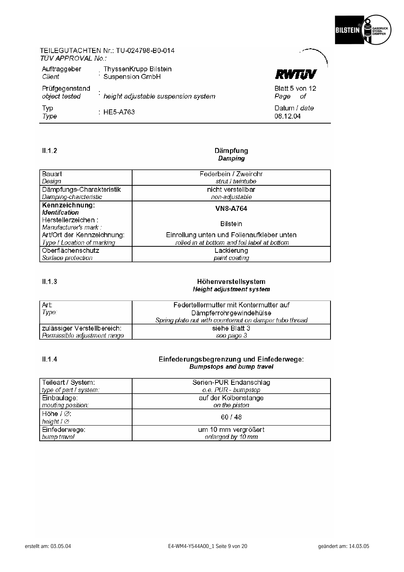

**RWTIN** 

Blatt 5 von 12 Page of Datum / date 08.12.04

# TEILEGUTACHTEN Nr.: TU-024798-B0-014 TÜV APPROVAL No.:

| Auftraggeber<br>Client          | ThyssenKrupp Bilstein<br>Suspension GmbH |
|---------------------------------|------------------------------------------|
| Prüfgegenstand<br>object tested | height adjustable suspension system      |
| Typ<br>Type                     | : HE5-A763                               |

#### $II.1.2$

#### Dämpfung **Damping**

| Bauart                     | Federbein / Zweirohr                         |
|----------------------------|----------------------------------------------|
| Design                     | strut / twintube                             |
| Dämpfungs-Charakteristik   | nicht verstellbar                            |
| Damping-charcteristic      | non-adjustable                               |
| Kennzeichnung:             | <b>VN8-A764</b>                              |
| <b>Identifcation</b>       |                                              |
| Herstellerzeichen:         | <b>Bilstein</b>                              |
| Manufacturer's mark:       |                                              |
| Art/Ort der Kennzeichnung: | Einrollung unten und Folienaufkleber unten   |
| Type / Location of marking | rolled in at bottom and foil label at bottom |
| Oberflächenschutz          | Lackierung                                   |
| Surface protection         | paint coating                                |

# $II.1.3$

#### Höhenverstellsystem Height adjustment system

| Art:<br>Type:                | Federtellermutter mit Kontermutter auf<br>Dämpferrohrgewindehülse<br>Spring plate nut with counternut on damper tube thread |
|------------------------------|-----------------------------------------------------------------------------------------------------------------------------|
| zulässiger Verstellbereich:  | siehe Blatt 3                                                                                                               |
| Permissible adjustment range | see page 3                                                                                                                  |

#### $II.1.4$ Einfederungsbegrenzung und Einfederwege: **Bumpstops and bump travel**

| Teileart / System:     | Serien-PUR Endanschlag |
|------------------------|------------------------|
| type of part / system: | o.e. PUR - bumpstop    |
| Einbaulage:            | auf der Kolbenstange   |
| mouting position:      | on the piston          |
| Höhe $I\varnothing$ :  | 60 / 48                |
| height $I \varnothing$ |                        |
| Einfederwege:          | um 10 mm vergrößert    |
| bump travel            | enlarged by 10 mm      |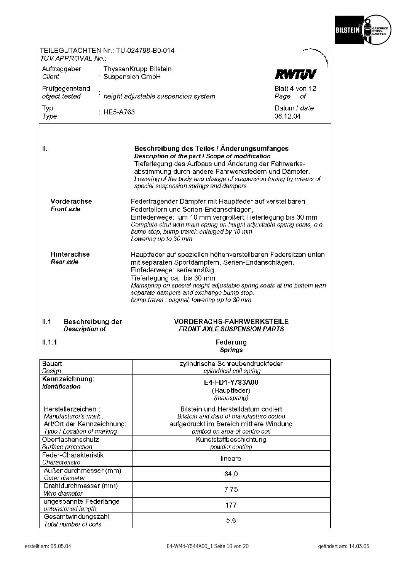

# TEILEGUTACHTEN Nr.: TU-024798-B0-014 TÜV APPROVAL No.:

| Auftraggeber<br>Client          | ThyssenKrupp Bilstein<br>Suspension GmbH | RWTUV                         |
|---------------------------------|------------------------------------------|-------------------------------|
| Prüfgegenstand<br>object tested | height adjustable suspension system      | Blatt 4 von 12<br>Page<br>of. |
| <b>Typ</b><br>Type              | $\pm$ HE5-A763.                          | Datum / date<br>08.12.04      |

| Ш.                               | Beschreibung des Teiles / Änderungsumfanges<br>Description of the part I Scope of modification<br>Tieferlegung des Aufbaus und Änderung der Fahrwerks-<br>abstimmung durch andere Fahrwerksfedern und Dämpfer.<br>Lowering of the body and change of suspension tuning by means of<br>special suspension springs and dampers.                          |
|----------------------------------|--------------------------------------------------------------------------------------------------------------------------------------------------------------------------------------------------------------------------------------------------------------------------------------------------------------------------------------------------------|
| Vorderachse<br><b>Front axle</b> | Federtragender Dämpfer mit Hauptfeder auf verstellbaren<br>Federtellern und Serien-Endanschlägen,<br>Einfederwege: um 10 mm vergrößert; Tieferlegung bis 30 mm<br>Complete strut with main spring on height adjustable spring seats, o.e.<br>bump stop, bump travel: enlarged by 10 mm<br>Lowering up to 30 mm                                         |
| <b>Hinterachse</b><br>Rear axle  | Hauptfeder auf speziellen höhenverstellbaren Federsitzen unten<br>mit separaten Sportdämpfern, Serien-Endanschlägen,<br>Einfederwege: serienmäßig<br>Tieferlegung ca. bis 30 mm<br>Mainspring on special height adjustable spring seats at the bottom with<br>separate dampers and exchange bump stop,<br>bump travel : original, lowering up to 30 mm |

# Beschreibung der<br>*Description of*  $II.1$

#### **VORDERACHS-FAHRWERKSTEILE FRONT AXLE SUSPENSION PARTS**

# $II.1.1$

#### Federung **Springs**

| Bauart<br>Design                                                                                        | zylindrische Schraubendruckfeder<br>cylindrical coil spring                                                                                               |
|---------------------------------------------------------------------------------------------------------|-----------------------------------------------------------------------------------------------------------------------------------------------------------|
| Kennzeichnung:<br><b>Identification</b>                                                                 | E4-FD1-Y783A00<br>(Hauptfeder)<br>(mainspring)                                                                                                            |
| Herstellerzeichen:<br>Manufacturer's mark :<br>Art/Ort der Kennzeichnung:<br>Type / Location of marking | Bilstein und Herstelldatum codiert<br>Bilstein and date of manufacture coded<br>aufgedruckt im Bereich mittlere Windung<br>printed on area of centre coil |
| Oberflächenschutz<br>Surface protection                                                                 | Kunststoffbeschichtung<br>powder coating                                                                                                                  |
| Feder-Charakteristik<br>Characteristic                                                                  | lineare                                                                                                                                                   |
| Außendurchmesser (mm)<br>Outer diameter                                                                 | 84,0                                                                                                                                                      |
| Drahtdurchmesser (mm)<br>Wire diameter                                                                  | 7,75                                                                                                                                                      |
| ungespannte Federlänge<br>untensioned length                                                            | 177                                                                                                                                                       |
| Gesamtwindungszahl<br>Total number of coils                                                             | 5,6                                                                                                                                                       |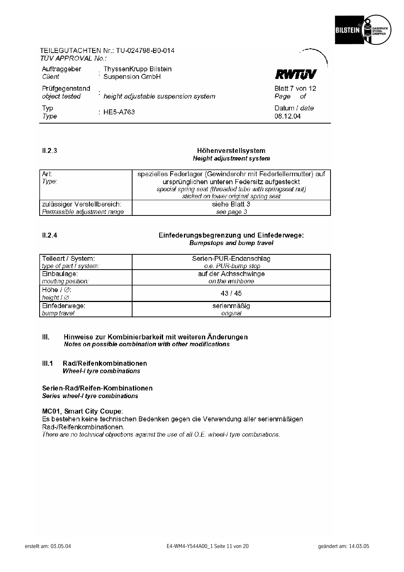

### TEILEGUTACHTEN Nr.: TU-024798-B0-014 TÜV APPROVAL No.:

| Auftraggeber<br>Client          | ThyssenKrupp Bilstein<br>Suspension GmbH | <b>RWTJV</b>                 |
|---------------------------------|------------------------------------------|------------------------------|
| Prüfgegenstand<br>object tested | height adjustable suspension system      | Blatt 7 von 12<br>Page<br>οf |
| Typ<br>Type                     | $\pm$ HE5-A763.                          | Datum / date<br>08.12.04     |

### $II.2.3$

#### Höhenverstellsystem **Height adjustment system**

| Art:<br>Type:                | spezielles Federlager (Gewinderohr mit Federtellermutter) auf<br>ursprünglichen unteren Federsitz aufgesteckt |
|------------------------------|---------------------------------------------------------------------------------------------------------------|
|                              | special spring seat (threaded tube with springseat nut)                                                       |
|                              | sticked on lower original spring seat                                                                         |
| zulässiger Verstellbereich:  | siehe Blatt 3                                                                                                 |
| Permissible adjustment range | see page 3                                                                                                    |

# $II.2.4$

#### Einfederungsbegrenzung und Einfederwege: **Bumpstops and bump travel**

| <sub>l</sub> Teileart / System: ⊦         | Serien-PUR-Endanschlag |
|-------------------------------------------|------------------------|
| type of part / system:                    | o.e. PUR-bump stop     |
| Einbaulage:                               | auf der Achsschwinge   |
| mouting position:                         | on the wishbone        |
| $H\ddot{\mathrm{o}}$ he / $\varnothing$ : | 43/45                  |
| height $I \varnothing$                    |                        |
| l Einfederwege:                           | serienmäßig            |
| bump travel                               | original               |

#### $III.$ Hinweise zur Kombinierbarkeit mit weiteren Änderungen Notes on possible combination with other modifications

 $III.1$ Rad/Reifenkombinationen **Wheel-I tyre combinations** 

#### Serien-Rad/Reifen-Kombinationen Series wheel-I tyre combinations

#### MC01, Smart City Coupe:

Es bestehen keine technischen Bedenken gegen die Verwendung aller serienmäßigen Rad-/Reifenkombinationen. There are no technical objections against the use of all O.E. wheel-I tyre combinations.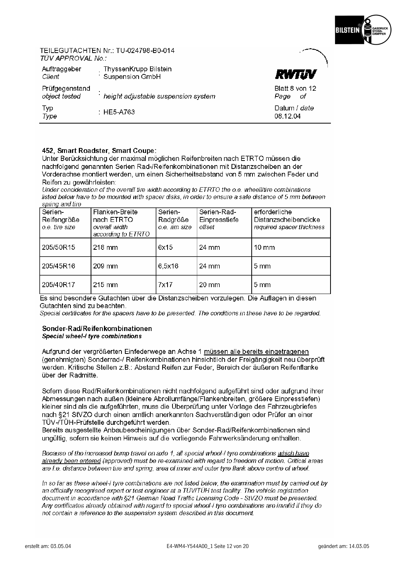

Blatt 8 von 12 Page of Datum / date 08.12.04

#### TEILEGUTACHTEN Nr · TU-024798-R0-014 TÜV APPROVAL No :

| Auftraggeber<br>Client          | ThyssenKrupp Bilstein<br>Suspension GmbH |
|---------------------------------|------------------------------------------|
| Prüfgegenstand<br>object tested | height adjustable suspension system      |
| Typ<br>Type                     | : HE5-A763                               |

#### 452, Smart Roadster, Smart Coupe:

Unter Berücksichtung der maximal möglichen Reifenbreiten nach ETRTO müssen die nachfolgend genannten Serien Rad-/Reifenkombinationen mit Distanzscheiben an der Vorderachse montiert werden, um einen Sicherheitsabstand von 5 mm zwischen Feder und Reifen zu gewährleisten:

Under concideration of the overall tire width according to FTRTO the o e wheeliltire combinations listed below have to be mounted with spacer disks, in order to ensure a safe distance of 5 mm between spring and tire

| Serien-<br>Reifengröße<br>o.e. tire size | Flanken-Breite<br>nach ETRTO<br>overall width<br>according to ETRTO | Serien-<br>Radgröße<br>o.e. nm size | Serien-Rad-<br>Einpresstiefe<br>offset | erforderliche<br>Distanzscheibendicke<br>required spacer thickness |
|------------------------------------------|---------------------------------------------------------------------|-------------------------------------|----------------------------------------|--------------------------------------------------------------------|
| 205/50R15                                | $218$ mm                                                            | 6x15                                | 24 mm                                  | $10 \text{ mm}$                                                    |
| 205/45R16                                | 209 mm                                                              | 6,5x16                              | 24 mm                                  | $5 \text{ mm}$                                                     |
| 205/40R17                                | $215 \text{ mm}$                                                    | 7x17                                | $20 \text{ mm}$                        | $5 \text{ mm}$                                                     |

Es sind besondere Gutachten über die Distanzscheiben vorzulegen. Die Auflagen in diesen Gutachten sind zu beachten.

Special certificates for the spacers have to be presented. The conditions in these have to be regarded.

#### Sonder-Rad/Reifenkombinationen Special wheel-I tyre combinations

Aufgrund der vergrößerten Einfederwege an Achse 1 müssen alle bereits eingetragenen (genehmigten) Sonderrad-/ Reifenkombinationen hinsichtlich der Freigängigkeit neu überprüft werden. Kritische Stellen z.B.: Abstand Reifen zur Feder, Bereich der äußeren Reifenflanke über der Radmitte.

Sofern diese Rad/Reifenkombinationen nicht nachfolgend aufgeführt sind oder aufgrund ihrer Abmessungen nach außen (kleinere Abrollumfänge/Flankenbreiten, größere Einpresstiefen) kleiner sind als die aufgeführten, muss die Überprüfung unter Vorlage des Fahrzeugbriefes nach §21 StVZO durch einen amtlich anerkannten Sachverständigen oder Prüfer an einer TÜV-/TÜH-Prüfstelle durchaeführt werden.

Bereits ausgestellte Anbaubescheinigungen über Sonder-Rad/Reifenkombinationen sind ungültig, sofern sie keinen Hinweis auf die vorliegende Fahrwerksänderung enthalten.

Because of the increased bump travel on axle 1, all special wheel-i tyre combinations which have already been entered (approved) must be re-examined with regard to freedom of motion. Critical areas are f.e. distance between tire and spring, area of inner and outer tyre flank above centre of wheel.

In so far as these wheel-I tyre combinations are not listed below the examination must by carried out by an officially recognised expert or test engineer at a TÜVITÜH test facility. The vehicle registration document in accordance with §21 German Road Traffic Licensing Code - StVZO must be presented. Any certificates already obtained with regard to special wheel-I tyre combinations are invalid if they do not contain a reference to the suspension system described in this document.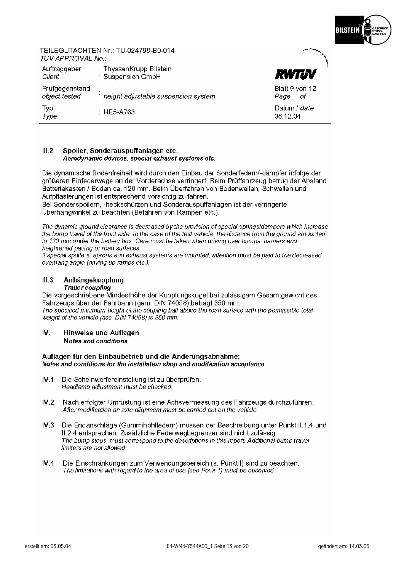

### TEILEGUTACHTEN Nr.: TU-024798-B0-014 TÜV APPROVAL No :

| Auftraggeber<br>Client          | ThyssenKrupp Bilstein<br>Suspension GmbH | RWTUV                          |
|---------------------------------|------------------------------------------|--------------------------------|
| Prüfgegenstand<br>object tested | height adjustable suspension system      | Blatt 9 von 12<br>Page<br>– of |
| Typ<br>Type                     | $\pm$ HE5-A763                           | Datum / date<br>08.12.04       |

#### $III.2$ Spoiler, Sonderauspuffanlagen etc. Aerodynamic devices, special exhaust systems etc.

Die dynamische Bodenfreiheit wird durch den Einbau der Sonderfedern/-dämpfer infolge der größeren Einfederwege an der Vorderachse verringert. Beim Prüffahrzeug betrug der Abstand Batteriekasten / Boden ca. 120 mm. Beim Überfahren von Bodenwellen. Schwellen und Aufpflasterungen ist entsprechend vorsichtig zu fahren.

Bei Sonderspoilern. -heckschürzen und Sonderauspuffanlagen ist der verringerte Überhangwinkel zu beachten (Befahren von Rampen etc.).

The dynamic ground clearance is decreased by the provision of special springs/dampers which increase the bump travel of the front axle. In the case of the test vehicle, the distance from the ground amounted to 120 mm under the battery box. Care must be taken when driving over humps, barriers and heightened paving or road surfaces.

If special spoilers, aprons and exhaust systems are mounted, attention must be paid to the decreased overhang angle (driving up ramps etc.).

#### $III.3$ Anhängekupplung

#### **Trailor coupling**

Die vorgeschriebene Mindesthöhe der Kupplungskugel bei zulässigem Gesamtgewicht des Fahrzeugs über der Fahrbahn (gem. DIN 74058) beträgt 350 mm. The specified minimum height of the coupling ball above the road surface with the permissible total weight of the vehicle (acc. DIN 74058) is 350 mm.

#### $\mathbf{W}$ Hinweise und Auflagen **Notes and conditions**

#### Auflagen für den Einbaubetrieb und die Änderungsabnahme: Notes and conditions for the installation shop and modification acceptance

- $IV<sub>1</sub>$ Die Scheinwerfereinstellung ist zu überprüfen. Headlamp adjustment must be checked.
- $IV.2$ Nach erfolgter Umrüstung ist eine Achsvermessung des Fahrzeugs durchzuführen. After modification an axle alignment must be carried out on the vehicle.
- $IV.3$ Die Endanschläge (Gummihohlfedern) müssen der Beschreibung unter Punkt II.1.4 und II.2.4 entsprechen. Zusätzliche Federwegbegrenzer sind nicht zulässig. The bump stops must correspond to the descriptions in this report. Additional bump travel limiters are not allowed.
- $IV.4$ Die Einschränkungen zum Verwendungsbereich (s. Punkt I) sind zu beachten. The limitations with regard to the area of use (see Point 1) must be observed.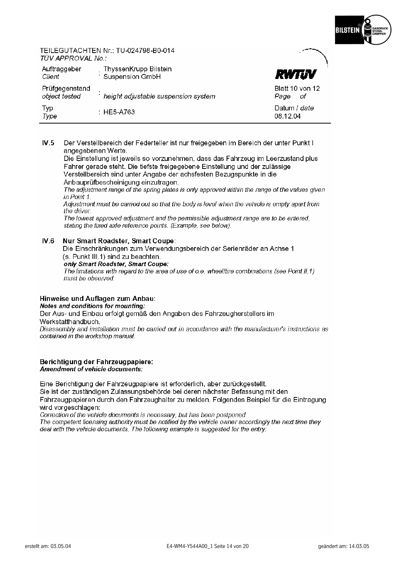

#### TEILEGUTACHTEN Nr.: TU-024798-B0-014 TÜV APPROVAL No :

| Auftraggeber<br>Client          | ThyssenKrupp Bilstein<br>Suspension GmbH | RWTUV                          |
|---------------------------------|------------------------------------------|--------------------------------|
| Prüfgegenstand<br>object tested | height adjustable suspension system      | Blatt 10 von 12<br>Page<br>-of |
| Typ<br>Type                     | $\pm$ HE5-A763                           | Datum / date<br>08.12.04       |

#### $IV.5$ Der Verstellbereich der Federteller ist nur freigegeben im Bereich der unter Punkt I angegebenen Werte.

Die Einstellung ist jeweils so vorzunehmen, dass das Fahrzeug im Leerzustand plus Fahrer gerade steht. Die tiefste freigegebene Einstellung und der zulässige Verstellbereich sind unter Angabe der achsfesten Bezugspunkte in die Anbauprüfbescheinigung einzutragen.

The adjustment range of the spring plates is only approved within the range of the values given in Point 1.

Adjustment must be carried out so that the body is level when the vehicle is empty apart from the driver.

The lowest approved adjustment and the permissible adjustment range are to be entered. stating the fixed axle reference points. (Example, see below).

#### $IV.6$ Nur Smart Roadster, Smart Coupe:

Die Einschränkungen zum Verwendungsbereich der Serienräder an Achse 1 (s. Punkt III.1) sind zu beachten.

only Smart Roadster, Smart Coupe:

The limitations with regard to the area of use of o.e. wheelitire combinations (see Point II.1) must be observed

#### Hinweise und Auflagen zum Anbau: Notes and conditions for mounting:

Der Aus- und Einbau erfolgt gemäß den Angaben des Fahrzeugherstellers im Werkstatthandbuch.

Disassembly and installation must be carried out in accordance with the manufacturer's instructions as contained in the workshop manual.

#### Berichtigung der Fahrzeugpapiere: Amendment of vehicle documents:

Eine Berichtigung der Fahrzeugpapiere ist erforderlich, aber zurückgestellt. Sie ist der zuständigen Zulassungsbehörde bei deren nächster Befassung mit den Fahrzeugpapieren durch den Fahrzeughalter zu melden. Folgendes Beispiel für die Eintragung wird vorgeschlagen:

Correction of the vehicle documents is necessary, but has been postponed.

The competent licensing authority must be notified by the vehicle owner accordingly the next time they deal with the vehicle documents. The following example is suggested for the entry: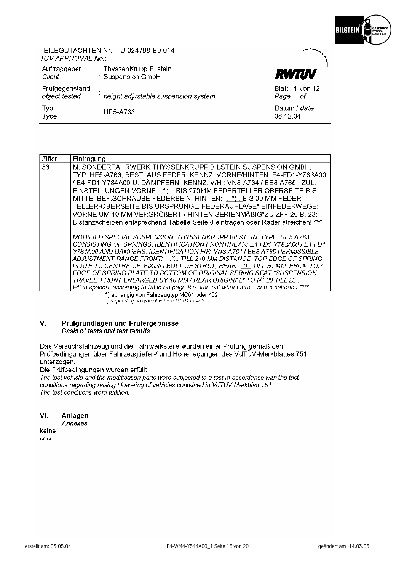

## TEILEGUTACHTEN Nr.: TU-024798-B0-014 TÜV APPROVAL No.:

| Auftraggeber<br>Client          | ThyssenKrupp Bilstein<br>Suspension GmbH | RWTUV                           |
|---------------------------------|------------------------------------------|---------------------------------|
| Prüfgegenstand<br>object tested | height adjustable suspension system      | Blatt 11 von 12<br>Page<br>- of |
| Typ<br>Type                     | $\pm$ HE5-A763.                          | Datum / <i>date</i><br>08.12.04 |

| Ziffer | Eintragung                                                                                                                                                                                                                                                                                                                                                                                                                                                                                                                     |
|--------|--------------------------------------------------------------------------------------------------------------------------------------------------------------------------------------------------------------------------------------------------------------------------------------------------------------------------------------------------------------------------------------------------------------------------------------------------------------------------------------------------------------------------------|
| 33     | M. SONDERFAHRWERK THYSSENKRUPP BILSTEIN SUSPENSION GMBH,<br>TYP: HE5-A763, BEST. AUS FEDER, KENNZ. VORNE/HINTEN: E4-FD1-Y783A00<br>/ E4-FD1-Y784A00 U. DÄMPFERN, KENNZ. V/H: VN8-A764 / BE3-A765; ZUL.<br>EINSTELLUNGEN VORNE: *) BIS 270MM FEDERTELLER OBERSEITE BIS<br>MITTE BEF.SCHRAUBE FEDERBEIN, HINTEN: *) BIS 30 MM FEDER-<br>TELLER-OBERSEITE BIS URSPRÜNGL. FEDERAUFLAGE* EINFEDERWEGE:<br>VORNE UM 10 MM VERGRÖßERT / HINTEN SERIENMÄßIG*ZU ZFF 20 B. 23:                                                           |
|        | Distanzscheiben entsprechend Tabelle Seite 8 eintragen oder Räder streichen!!***                                                                                                                                                                                                                                                                                                                                                                                                                                               |
|        | MODIFIED SPECIAL SUSPENSION, THYSSENKRUPP BILSTEIN, TYPE: HE5-A763,<br>CONSISTING OF SPRINGS, IDENTIFICATION FRONTIREAR: E4-FD1-Y783A00 / E4-FD1-<br>Y784A00 AND DAMPERS, IDENTIFICATION FIR: VN8-A764 / BE3-A765 PERMISSIBLE<br>ADJUSTMENT RANGE FRONT: *) TILL 270 MM DISTANCE. TOP EDGE OF SPRING<br>PLATE TO CENTRE OF FIXING BOLT OF STRUT: REAR: *) TILL 30 MM: FROM TOP<br>EDGE OF SPRING PLATE TO BOTTOM OF ORIGINAL SPRING SEAT *SUSPENSION<br>TRAVEL: FRONT ENLARGED BY 10 MM I REAR ORIGINAL* TO $N^O$ 20 TILL 23 : |
|        | Fill in spacers according to table on page 8 or line out wheel-Itire - combinations ! ****<br>$\mathbf{u}$ . The contract of the contract of the contract of the contract of the contract of the contract of the contract of the contract of the contract of the contract of the contract of the contract of the contract of th                                                                                                                                                                                                |

\*) abhängig von Fahrzeugtyp MC01 oder 452<br>\*) depending on type of vehicle MC01 or 452

#### V. Prüfgrundlagen und Prüfergebnisse Basis of tests and test results

Das Versuchsfahrzeug und die Fahrwerksteile wurden einer Prüfung gemäß den Prüfbedingungen über Fahrzeugtiefer-/ und Höherlegungen des VdTUV-Merkblattes 751 unterzogen.

Die Prüfbedingungen wurden erfüllt.

The test vehicle and the modification parts were subjected to a test in accordance with the test conditions regarding raising I lowering of vehicles contained in VdTÜV Merkblatt 751. The test conditions were fulfilled

| VI. | Anlagen |
|-----|---------|
|     |         |

- **Annexes** keine
- none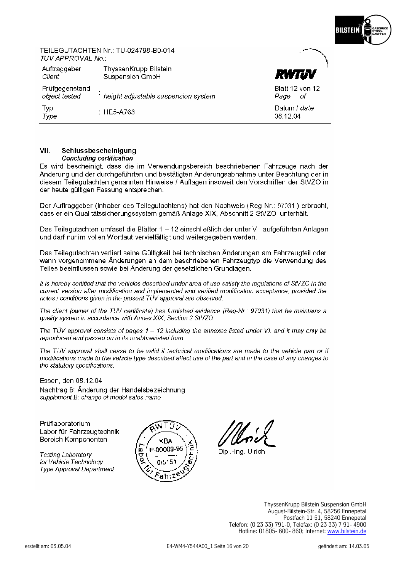

### TEILEGUTACHTEN Nr · TU-024798-R0-014 TÜV APPROVAL No :

| Auftraggeber<br>Client          | ThyssenKrupp Bilstein<br>Suspension GmbH | <b>RWTJV</b>                  |
|---------------------------------|------------------------------------------|-------------------------------|
| Prüfgegenstand<br>object tested | height adjustable suspension system      | Blatt 12 von 12<br>Page<br>ΟŤ |
| Typ<br>Type                     | $\pm$ HE5-A763.                          | Datum / date<br>08.12.04      |

#### VII. Schlussbescheinigung **Concluding certification**

Es wird bescheinigt, dass die im Verwendungsbereich beschriebenen Fahrzeuge nach der Änderung und der durchgeführten und bestätigten Änderungsabnahme unter Beachtung der in diesem Teilegutachten genannten Hinweise / Auflagen insoweit den Vorschriften der StVZO in der heute gültigen Fassung entsprechen.

Der Auftraggeber (Inhaber des Teilegutachtens) hat den Nachweis (Reg-Nr.: 97031) erbracht. dass er ein Qualitätssicherungssystem gemäß Anlage XIX. Abschnitt 2 StVZO unterhält.

Das Teilegutachten umfasst die Blätter 1 - 12 einschließlich der unter VI. aufgeführten Anlagen und darf nur im vollen Wortlaut vervielfältigt und weitergegeben werden.

Das Teilegutachten verliert seine Gültigkeit bei technischen Änderungen am Fahrzeugteil oder wenn vorgenommene Änderungen an dem beschriebenen Fahrzeugtyp die Verwendung des Teiles beeinflussen sowie bei Änderung der gesetzlichen Grundlagen.

It is hereby certified that the vehicles described under area of use satisfy the requlations of StVZO in the current version after modification and implemented and verified modification acceptance, provided the notes / conditions given in the present TÜV approval are observed.

The client (owner of the TÜV certificate) has furnished evidence (Reg-Nr.: 97031) that he maintains a quality system in accordance with Annex XIX, Section 2 StVZO.

The TÜV approval consists of pages  $1 - 12$  including the annexes listed under VI. and it may only be reproduced and passed on in its unabbreviated form.

The TUV approval shall cease to be valid if technical modifications are made to the vehicle part or if modifications made to the vehicle type described affect use of the part and in the case of any changes to the statutory specifications.

Essen, den 08.12.04 Nachtrag B: Änderung der Handelsbezeichnung supplement B: change of model sales name

Prüflaboratorium Labor für Fahrzeugtechnik Bereich Komponenten

**Testing Laboratory** for Vehicle Technology **Type Approval Department** 



Dipl.-Ing. Ulrich

ThyssenKrupp Bilstein Suspension GmbH August-Bilstein-Str. 4, 58256 Ennepetal<br>Postfach 11 51, 58240 Ennepetal Telefon: (0 23 33) 791-0, Telefax: (0 23 33) 7 91- 4900 Hotline: 01805- 600- 860; Internet: www.bilstein.de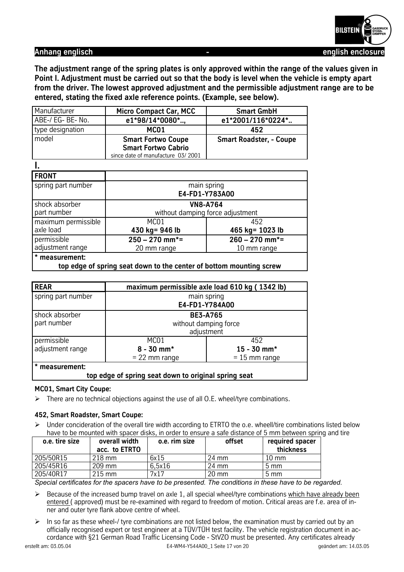

**I.** 

Anhang englisch **Anhang englisch** english enclosure

**The adjustment range of the spring plates is only approved within the range of the values given in Point I. Adjustment must be carried out so that the body is level when the vehicle is empty apart from the driver. The lowest approved adjustment and the permissible adjustment range are to be entered, stating the fixed axle reference points. (Example, see below).**

| Manufacturer      | <b>Micro Compact Car, MCC</b>     | <b>Smart GmbH</b>              |
|-------------------|-----------------------------------|--------------------------------|
| ABE-/ EG- BE- No. | e1*98/14*0080*                    | e1*2001/116*0224*              |
| type designation  | MC <sub>01</sub>                  | 452                            |
| model             | <b>Smart Fortwo Coupe</b>         | <b>Smart Roadster, - Coupe</b> |
|                   | <b>Smart Fortwo Cabrio</b>        |                                |
|                   | since date of manufacture 03/2001 |                                |

| <br><b>FRONT</b>    |                                  |                               |  |
|---------------------|----------------------------------|-------------------------------|--|
| spring part number  | main spring<br>E4-FD1-Y783A00    |                               |  |
| shock absorber      | <b>VN8-A764</b>                  |                               |  |
| part number         | without damping force adjustment |                               |  |
| maximum permissible | MC01                             | 452                           |  |
| axle load           | 430 kg= 946 lb                   | 465 kg= 1023 lb               |  |
| permissible         | $250 - 270$ mm <sup>*</sup> =    | $260 - 270$ mm <sup>*</sup> = |  |
| adjustment range    | 20 mm range                      | 10 mm range                   |  |
| * measurement:      |                                  |                               |  |

**top edge of spring seat down to the center of bottom mounting screw** 

| <b>REAR</b>                                          | maximum permissible axle load 610 kg (1342 lb) |                 |  |
|------------------------------------------------------|------------------------------------------------|-----------------|--|
| spring part number                                   | main spring                                    |                 |  |
|                                                      | E4-FD1-Y784A00                                 |                 |  |
| shock absorber                                       | <b>BE3-A765</b>                                |                 |  |
| part number                                          | without damping force                          |                 |  |
|                                                      | adjustment                                     |                 |  |
| permissible                                          | MC <sub>01</sub>                               | 452             |  |
| adjustment range                                     | $8 - 30$ mm*                                   | $15 - 30$ mm*   |  |
|                                                      | $= 22$ mm range                                | $= 15$ mm range |  |
| * measurement:                                       |                                                |                 |  |
| top edge of spring seat down to original spring seat |                                                |                 |  |

#### **MC01, Smart City Coupe:**

 $\triangleright$  There are no technical objections against the use of all O.E. wheel/tyre combinations.

#### **452, Smart Roadster, Smart Coupe:**

 $\triangleright$  Under concideration of the overall tire width according to ETRTO the o.e. wheell/tire combinations listed below have to be mounted with spacer disks, in order to ensure a safe distance of 5 mm between spring and tire

| o.e. tire size | overall width<br>acc. to ETRTO | o.e. rim size | offset          | required spacer<br>thickness |
|----------------|--------------------------------|---------------|-----------------|------------------------------|
| 205/50R15      | 218 mm                         | 6x15          | 24 mm           | $10 \text{ mm}$              |
| 205/45R16      | 209 mm                         | 6.5x16        | 24 mm           | $5 \text{ mm}$               |
| 205/40R17      | $215 \text{ mm}$               | 7x17          | $20 \text{ mm}$ | $5 \text{ mm}$               |

*Special certificates for the spacers have to be presented. The conditions in these have to be regarded.*

- $\triangleright$  Because of the increased bump travel on axle 1, all special wheel/tyre combinations which have already been entered ( approved) must be re-examined with regard to freedom of motion. Critical areas are f.e. area of inner and outer tyre flank above centre of wheel.
- $\triangleright$  In so far as these wheel-/ tyre combinations are not listed below, the examination must by carried out by an officially recognised expert or test engineer at a TÜV/TÜH test facility. The vehicle registration document in accordance with §21 German Road Traffic Licensing Code - StVZO must be presented. Any certificates already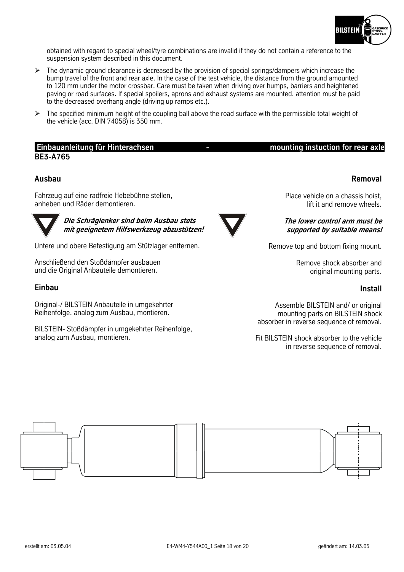

obtained with regard to special wheel/tyre combinations are invalid if they do not contain a reference to the suspension system described in this document.

- $\triangleright$  The dynamic ground clearance is decreased by the provision of special springs/dampers which increase the bump travel of the front and rear axle. In the case of the test vehicle, the distance from the ground amounted to 120 mm under the motor crossbar. Care must be taken when driving over humps, barriers and heightened paving or road surfaces. If special spoilers, aprons and exhaust systems are mounted, attention must be paid to the decreased overhang angle (driving up ramps etc.).
- $\triangleright$  The specified minimum height of the coupling ball above the road surface with the permissible total weight of the vehicle (acc. DIN 74058) is 350 mm.

## **Einbauanleitung für Hinterachsen 1986 Constrainer Schwause Hindustries instruction for rear axle BE3-A765**

#### **Ausbau**

Fahrzeug auf eine radfreie Hebebühne stellen, anheben und Räder demontieren.



**Die Schräglenker sind beim Ausbau stets mit geeignetem Hilfswerkzeug abzustützen!** 

Untere und obere Befestigung am Stützlager entfernen.

Anschließend den Stoßdämpfer ausbauen und die Original Anbauteile demontieren.

#### **Einbau**

Original-/ BILSTEIN Anbauteile in umgekehrter Reihenfolge, analog zum Ausbau, montieren.

BILSTEIN- Stoßdämpfer in umgekehrter Reihenfolge, analog zum Ausbau, montieren.

# Place vehicle on a chassis hoist,

# **The lower control arm must be supported by suitable means!**

lift it and remove wheels.

Remove top and bottom fixing mount.

Remove shock absorber and original mounting parts.

### **Install**

Assemble BILSTEIN and/ or original mounting parts on BILSTEIN shock absorber in reverse sequence of removal.

Fit BILSTEIN shock absorber to the vehicle in reverse sequence of removal.



#### **Removal**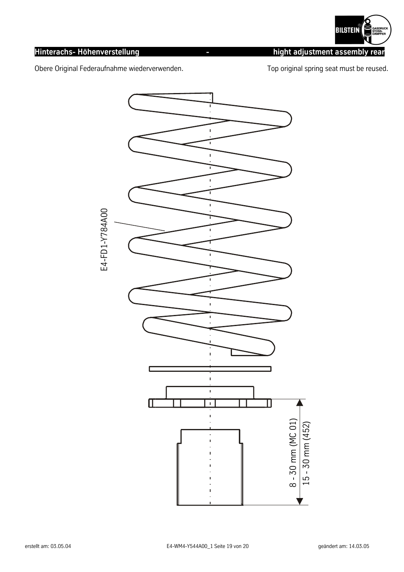

# **Hinterachs- Höhenverstellung - hight adjustment assembly rear**

Obere Original Federaufnahme wiederverwenden. The most of the Top original spring seat must be reused.



E4-FD1-Y784A00 E4-FD1-Y784A00